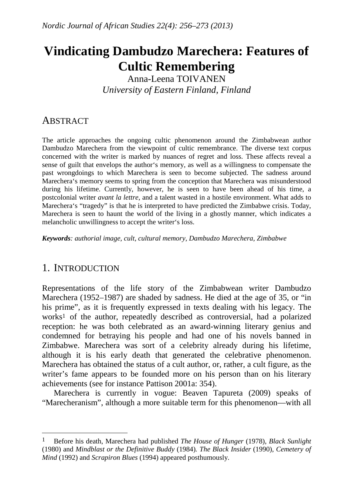# **Vindicating Dambudzo Marechera: Features of Cultic Remembering**

Anna-Leena TOIVANEN *University of Eastern Finland, Finland* 

# **ABSTRACT**

The article approaches the ongoing cultic phenomenon around the Zimbabwean author Dambudzo Marechera from the viewpoint of cultic remembrance. The diverse text corpus concerned with the writer is marked by nuances of regret and loss. These affects reveal a sense of guilt that envelops the author's memory, as well as a willingness to compensate the past wrongdoings to which Marechera is seen to become subjected. The sadness around Marechera's memory seems to spring from the conception that Marechera was misunderstood during his lifetime. Currently, however, he is seen to have been ahead of his time, a postcolonial writer *avant la lettre*, and a talent wasted in a hostile environment. What adds to Marechera's "tragedy" is that he is interpreted to have predicted the Zimbabwe crisis. Today, Marechera is seen to haunt the world of the living in a ghostly manner, which indicates a melancholic unwillingness to accept the writer's loss.

*Keywords: authorial image, cult, cultural memory, Dambudzo Marechera, Zimbabwe* 

# 1. INTRODUCTION

 $\overline{a}$ 

Representations of the life story of the Zimbabwean writer Dambudzo Marechera (1952–1987) are shaded by sadness. He died at the age of 35, or "in his prime", as it is frequently expressed in texts dealing with his legacy. The works1 of the author, repeatedly described as controversial, had a polarized reception: he was both celebrated as an award-winning literary genius and condemned for betraying his people and had one of his novels banned in Zimbabwe. Marechera was sort of a celebrity already during his lifetime, although it is his early death that generated the celebrative phenomenon. Marechera has obtained the status of a cult author, or, rather, a cult figure, as the writer's fame appears to be founded more on his person than on his literary achievements (see for instance Pattison 2001a: 354).

 Marechera is currently in vogue: Beaven Tapureta (2009) speaks of "Marecheranism", although a more suitable term for this phenomenon—with all

<sup>1</sup> Before his death, Marechera had published *The House of Hunger* (1978), *Black Sunlight* (1980) and *Mindblast or the Definitive Buddy* (1984)*. The Black Insider* (1990), *Cemetery of Mind* (1992) and *Scrapiron Blues* (1994) appeared posthumously.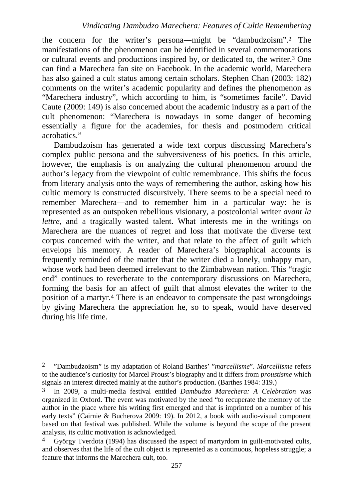the concern for the writer's persona―might be "dambudzoism".2 The manifestations of the phenomenon can be identified in several commemorations or cultural events and productions inspired by, or dedicated to, the writer.3 One can find a Marechera fan site on Facebook. In the academic world, Marechera has also gained a cult status among certain scholars. Stephen Chan (2003: 182) comments on the writer's academic popularity and defines the phenomenon as "Marechera industry", which according to him, is "sometimes facile". David Caute (2009: 149) is also concerned about the academic industry as a part of the cult phenomenon: "Marechera is nowadays in some danger of becoming essentially a figure for the academies, for thesis and postmodern critical acrobatics."

Dambudzoism has generated a wide text corpus discussing Marechera's complex public persona and the subversiveness of his poetics. In this article, however, the emphasis is on analyzing the cultural phenomenon around the author's legacy from the viewpoint of cultic remembrance. This shifts the focus from literary analysis onto the ways of remembering the author, asking how his cultic memory is constructed discursively. There seems to be a special need to remember Marechera—and to remember him in a particular way: he is represented as an outspoken rebellious visionary, a postcolonial writer *avant la lettre*, and a tragically wasted talent. What interests me in the writings on Marechera are the nuances of regret and loss that motivate the diverse text corpus concerned with the writer, and that relate to the affect of guilt which envelops his memory. A reader of Marechera's biographical accounts is frequently reminded of the matter that the writer died a lonely, unhappy man, whose work had been deemed irrelevant to the Zimbabwean nation. This "tragic end" continues to reverberate to the contemporary discussions on Marechera, forming the basis for an affect of guilt that almost elevates the writer to the position of a martyr.4 There is an endeavor to compensate the past wrongdoings by giving Marechera the appreciation he, so to speak, would have deserved during his life time.

 $\overline{a}$ 

<sup>2</sup> "Dambudzoism" is my adaptation of Roland Barthes' "*marcellisme*". *Marcellisme* refers to the audience's curiosity for Marcel Proust's biography and it differs from *proustisme* which signals an interest directed mainly at the author's production. (Barthes 1984: 319.)

<sup>3</sup> In 2009, a multi-media festival entitled *Dambudzo Marechera: A Celebration* was organized in Oxford. The event was motivated by the need "to recuperate the memory of the author in the place where his writing first emerged and that is imprinted on a number of his early texts" (Cairnie & Bucherova 2009: 19). In 2012, a book with audio-visual component based on that festival was published. While the volume is beyond the scope of the present analysis, its cultic motivation is acknowledged.

<sup>4</sup> György Tverdota (1994) has discussed the aspect of martyrdom in guilt-motivated cults, and observes that the life of the cult object is represented as a continuous, hopeless struggle; a feature that informs the Marechera cult, too.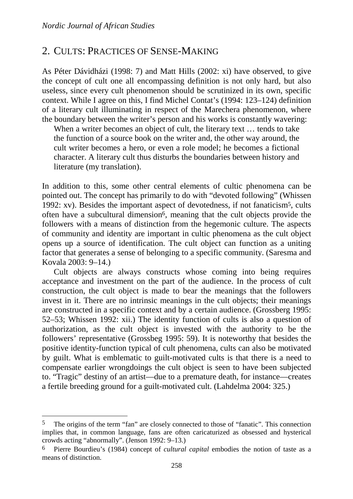$\overline{a}$ 

### 2. CULTS: PRACTICES OF SENSE-MAKING

As Péter Dávidházi (1998: 7) and Matt Hills (2002: xi) have observed, to give the concept of cult one all encompassing definition is not only hard, but also useless, since every cult phenomenon should be scrutinized in its own, specific context. While I agree on this, I find Michel Contat's (1994: 123–124) definition of a literary cult illuminating in respect of the Marechera phenomenon, where the boundary between the writer's person and his works is constantly wavering:

When a writer becomes an object of cult, the literary text ... tends to take the function of a source book on the writer and, the other way around, the cult writer becomes a hero, or even a role model; he becomes a fictional character. A literary cult thus disturbs the boundaries between history and literature (my translation).

In addition to this, some other central elements of cultic phenomena can be pointed out. The concept has primarily to do with "devoted following" (Whissen 1992: xv). Besides the important aspect of devotedness, if not fanaticism5, cults often have a subcultural dimension6, meaning that the cult objects provide the followers with a means of distinction from the hegemonic culture. The aspects of community and identity are important in cultic phenomena as the cult object opens up a source of identification. The cult object can function as a uniting factor that generates a sense of belonging to a specific community. (Saresma and Kovala 2003: 9–14.)

Cult objects are always constructs whose coming into being requires acceptance and investment on the part of the audience. In the process of cult construction, the cult object is made to bear the meanings that the followers invest in it. There are no intrinsic meanings in the cult objects; their meanings are constructed in a specific context and by a certain audience. (Grossberg 1995: 52–53; Whissen 1992: xii.) The identity function of cults is also a question of authorization, as the cult object is invested with the authority to be the followers' representative (Grossbeg 1995: 59). It is noteworthy that besides the positive identity-function typical of cult phenomena, cults can also be motivated by guilt. What is emblematic to guilt-motivated cults is that there is a need to compensate earlier wrongdoings the cult object is seen to have been subjected to. "Tragic" destiny of an artist—due to a premature death, for instance—creates a fertile breeding ground for a guilt-motivated cult. (Lahdelma 2004: 325.)

<sup>5</sup> The origins of the term "fan" are closely connected to those of "fanatic". This connection implies that, in common language, fans are often caricaturized as obsessed and hysterical crowds acting "abnormally". (Jenson 1992: 9–13.)

<sup>6</sup> Pierre Bourdieu's (1984) concept of *cultural capital* embodies the notion of taste as a means of distinction.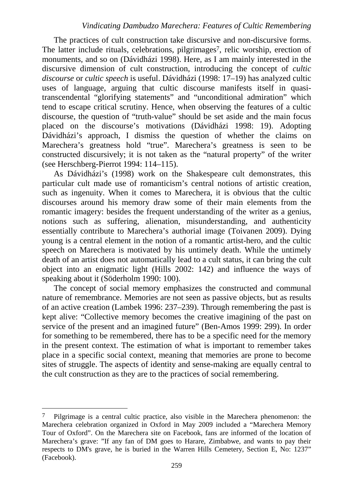The practices of cult construction take discursive and non-discursive forms. The latter include rituals, celebrations, pilgrimages<sup>7</sup>, relic worship, erection of monuments, and so on (Dávidházi 1998). Here, as I am mainly interested in the discursive dimension of cult construction, introducing the concept of *cultic discourse* or *cultic speech* is useful. Dávidházi (1998: 17–19) has analyzed cultic uses of language, arguing that cultic discourse manifests itself in quasitranscendental "glorifying statements" and "unconditional admiration" which tend to escape critical scrutiny. Hence, when observing the features of a cultic discourse, the question of "truth-value" should be set aside and the main focus placed on the discourse's motivations (Dávidházi 1998: 19). Adopting Dávidházi's approach, I dismiss the question of whether the claims on Marechera's greatness hold "true". Marechera's greatness is seen to be constructed discursively; it is not taken as the "natural property" of the writer (see Herschberg-Pierrot 1994: 114–115).

As Dávidházi's (1998) work on the Shakespeare cult demonstrates, this particular cult made use of romanticism's central notions of artistic creation, such as ingenuity. When it comes to Marechera, it is obvious that the cultic discourses around his memory draw some of their main elements from the romantic imagery: besides the frequent understanding of the writer as a genius, notions such as suffering, alienation, misunderstanding, and authenticity essentially contribute to Marechera's authorial image (Toivanen 2009). Dying young is a central element in the notion of a romantic artist-hero, and the cultic speech on Marechera is motivated by his untimely death. While the untimely death of an artist does not automatically lead to a cult status, it can bring the cult object into an enigmatic light (Hills 2002: 142) and influence the ways of speaking about it (Söderholm 1990: 100).

The concept of social memory emphasizes the constructed and communal nature of remembrance. Memories are not seen as passive objects, but as results of an active creation (Lambek 1996: 237–239). Through remembering the past is kept alive: "Collective memory becomes the creative imagining of the past on service of the present and an imagined future" (Ben-Amos 1999: 299). In order for something to be remembered, there has to be a specific need for the memory in the present context. The estimation of what is important to remember takes place in a specific social context, meaning that memories are prone to become sites of struggle. The aspects of identity and sense-making are equally central to the cult construction as they are to the practices of social remembering.

 $\overline{a}$ 

<sup>7</sup> Pilgrimage is a central cultic practice, also visible in the Marechera phenomenon: the Marechera celebration organized in Oxford in May 2009 included a "Marechera Memory Tour of Oxford". On the Marechera site on Facebook, fans are informed of the location of Marechera's grave: "If any fan of DM goes to Harare, Zimbabwe, and wants to pay their respects to DM's grave, he is buried in the Warren Hills Cemetery, Section E, No: 1237" (Facebook).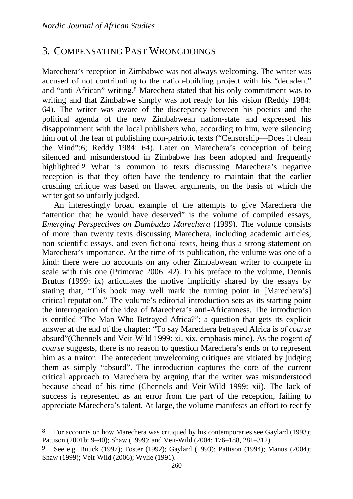$\overline{a}$ 

# 3. COMPENSATING PAST WRONGDOINGS

Marechera's reception in Zimbabwe was not always welcoming. The writer was accused of not contributing to the nation-building project with his "decadent" and "anti-African" writing.8 Marechera stated that his only commitment was to writing and that Zimbabwe simply was not ready for his vision (Reddy 1984: 64). The writer was aware of the discrepancy between his poetics and the political agenda of the new Zimbabwean nation-state and expressed his disappointment with the local publishers who, according to him, were silencing him out of the fear of publishing non-patriotic texts ("Censorship—Does it clean the Mind":6; Reddy 1984: 64). Later on Marechera's conception of being silenced and misunderstood in Zimbabwe has been adopted and frequently highlighted.9 What is common to texts discussing Marechera's negative reception is that they often have the tendency to maintain that the earlier crushing critique was based on flawed arguments, on the basis of which the writer got so unfairly judged.

An interestingly broad example of the attempts to give Marechera the "attention that he would have deserved" is the volume of compiled essays, *Emerging Perspectives on Dambudzo Marechera* (1999). The volume consists of more than twenty texts discussing Marechera, including academic articles, non-scientific essays, and even fictional texts, being thus a strong statement on Marechera's importance. At the time of its publication, the volume was one of a kind: there were no accounts on any other Zimbabwean writer to compete in scale with this one (Primorac 2006: 42). In his preface to the volume, Dennis Brutus (1999: ix) articulates the motive implicitly shared by the essays by stating that, "This book may well mark the turning point in [Marechera's] critical reputation." The volume's editorial introduction sets as its starting point the interrogation of the idea of Marechera's anti-Africanness. The introduction is entitled "The Man Who Betrayed Africa?"; a question that gets its explicit answer at the end of the chapter: "To say Marechera betrayed Africa is *of course* absurd"(Chennels and Veit-Wild 1999: xi, xix, emphasis mine). As the cogent *of course* suggests, there is no reason to question Marechera's ends or to represent him as a traitor. The antecedent unwelcoming critiques are vitiated by judging them as simply "absurd". The introduction captures the core of the current critical approach to Marechera by arguing that the writer was misunderstood because ahead of his time (Chennels and Veit-Wild 1999: xii). The lack of success is represented as an error from the part of the reception, failing to appreciate Marechera's talent. At large, the volume manifests an effort to rectify

<sup>8</sup> For accounts on how Marechera was critiqued by his contemporaries see Gaylard (1993); Pattison (2001b: 9–40); Shaw (1999); and Veit-Wild (2004: 176–188, 281–312).

<sup>9</sup> See e.g. Buuck (1997); Foster (1992); Gaylard (1993); Pattison (1994); Manus (2004); Shaw (1999); Veit-Wild (2006); Wylie (1991).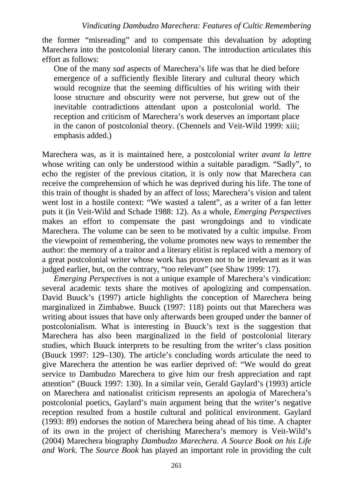the former "misreading" and to compensate this devaluation by adopting Marechera into the postcolonial literary canon. The introduction articulates this effort as follows:

One of the many *sad* aspects of Marechera's life was that he died before emergence of a sufficiently flexible literary and cultural theory which would recognize that the seeming difficulties of his writing with their loose structure and obscurity were not perverse, but grew out of the inevitable contradictions attendant upon a postcolonial world. The reception and criticism of Marechera's work deserves an important place in the canon of postcolonial theory. (Chennels and Veit-Wild 1999: xiii; emphasis added.)

Marechera was, as it is maintained here, a postcolonial writer *avant la lettre* whose writing can only be understood within a suitable paradigm. "Sadly", to echo the register of the previous citation, it is only now that Marechera can receive the comprehension of which he was deprived during his life. The tone of this train of thought is shaded by an affect of loss; Marechera's vision and talent went lost in a hostile context: "We wasted a talent", as a writer of a fan letter puts it (in Veit-Wild and Schade 1988: 12). As a whole, *Emerging Perspectives*  makes an effort to compensate the past wrongdoings and to vindicate Marechera. The volume can be seen to be motivated by a cultic impulse. From the viewpoint of remembering, the volume promotes new ways to remember the author: the memory of a traitor and a literary elitist is replaced with a memory of a great postcolonial writer whose work has proven not to be irrelevant as it was judged earlier, but, on the contrary, "too relevant" (see Shaw 1999: 17).

*Emerging Perspectives* is not a unique example of Marechera's vindication: several academic texts share the motives of apologizing and compensation. David Buuck's (1997) article highlights the conception of Marechera being marginalized in Zimbabwe. Buuck (1997: 118) points out that Marechera was writing about issues that have only afterwards been grouped under the banner of postcolonialism. What is interesting in Buuck's text is the suggestion that Marechera has also been marginalized in the field of postcolonial literary studies, which Buuck interprets to be resulting from the writer's class position (Buuck 1997: 129–130). The article's concluding words articulate the need to give Marechera the attention he was earlier deprived of: "We would do great service to Dambudzo Marechera to give him our fresh appreciation and rapt attention" (Buuck 1997: 130). In a similar vein, Gerald Gaylard's (1993) article on Marechera and nationalist criticism represents an apologia of Marechera's postcolonial poetics, Gaylard's main argument being that the writer's negative reception resulted from a hostile cultural and political environment. Gaylard (1993: 89) endorses the notion of Marechera being ahead of his time. A chapter of its own in the project of cherishing Marechera's memory is Veit-Wild's (2004) Marechera biography *Dambudzo Marechera. A Source Book on his Life and Work.* The *Source Book* has played an important role in providing the cult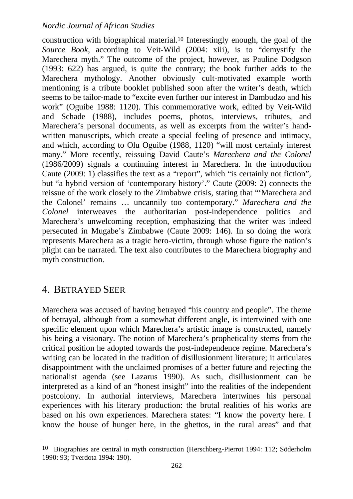construction with biographical material.10 Interestingly enough, the goal of the *Source Book*, according to Veit-Wild (2004: xiii), is to "demystify the Marechera myth." The outcome of the project, however, as Pauline Dodgson (1993: 622) has argued, is quite the contrary; the book further adds to the Marechera mythology. Another obviously cult-motivated example worth mentioning is a tribute booklet published soon after the writer's death, which seems to be tailor-made to "excite even further our interest in Dambudzo and his work" (Oguibe 1988: 1120). This commemorative work, edited by Veit-Wild and Schade (1988), includes poems, photos, interviews, tributes, and Marechera's personal documents, as well as excerpts from the writer's handwritten manuscripts, which create a special feeling of presence and intimacy, and which, according to Olu Oguibe (1988, 1120) "will most certainly interest many." More recently, reissuing David Caute's *Marechera and the Colonel*  (1986/2009) signals a continuing interest in Marechera. In the introduction Caute (2009: 1) classifies the text as a "report", which "is certainly not fiction", but "a hybrid version of 'contemporary history'." Caute (2009: 2) connects the reissue of the work closely to the Zimbabwe crisis, stating that "'Marechera and the Colonel' remains … uncannily too contemporary." *Marechera and the Colonel* interweaves the authoritarian post-independence politics and Marechera's unwelcoming reception, emphasizing that the writer was indeed persecuted in Mugabe's Zimbabwe (Caute 2009: 146). In so doing the work represents Marechera as a tragic hero-victim, through whose figure the nation's plight can be narrated. The text also contributes to the Marechera biography and myth construction.

# 4. BETRAYED SEER

 $\overline{a}$ 

Marechera was accused of having betrayed "his country and people". The theme of betrayal, although from a somewhat different angle, is intertwined with one specific element upon which Marechera's artistic image is constructed, namely his being a visionary. The notion of Marechera's propheticality stems from the critical position he adopted towards the post-independence regime. Marechera's writing can be located in the tradition of disillusionment literature; it articulates disappointment with the unclaimed promises of a better future and rejecting the nationalist agenda (see Lazarus 1990). As such, disillusionment can be interpreted as a kind of an "honest insight" into the realities of the independent postcolony. In authorial interviews, Marechera intertwines his personal experiences with his literary production: the brutal realities of his works are based on his own experiences. Marechera states: "I know the poverty here. I know the house of hunger here, in the ghettos, in the rural areas" and that

<sup>10</sup> Biographies are central in myth construction (Herschberg-Pierrot 1994: 112; Söderholm 1990: 93; Tverdota 1994: 190).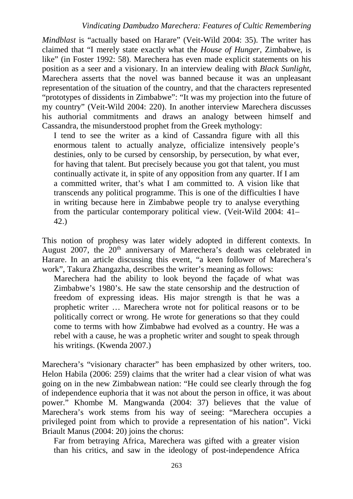*Mindblast* is "actually based on Harare" (Veit-Wild 2004: 35). The writer has claimed that "I merely state exactly what the *House of Hunger*, Zimbabwe, is like" (in Foster 1992: 58). Marechera has even made explicit statements on his position as a seer and a visionary. In an interview dealing with *Black Sunlight*, Marechera asserts that the novel was banned because it was an unpleasant representation of the situation of the country, and that the characters represented "prototypes of dissidents in Zimbabwe": "It was my projection into the future of my country" (Veit-Wild 2004: 220). In another interview Marechera discusses his authorial commitments and draws an analogy between himself and Cassandra, the misunderstood prophet from the Greek mythology:

I tend to see the writer as a kind of Cassandra figure with all this enormous talent to actually analyze, officialize intensively people's destinies, only to be cursed by censorship, by persecution, by what ever, for having that talent. But precisely because you got that talent, you must continually activate it, in spite of any opposition from any quarter. If I am a committed writer, that's what I am committed to. A vision like that transcends any political programme. This is one of the difficulties I have in writing because here in Zimbabwe people try to analyse everything from the particular contemporary political view. (Veit-Wild 2004: 41– 42.)

This notion of prophesy was later widely adopted in different contexts. In August 2007, the  $20<sup>th</sup>$  anniversary of Marechera's death was celebrated in Harare. In an article discussing this event, "a keen follower of Marechera's work", Takura Zhangazha, describes the writer's meaning as follows:

Marechera had the ability to look beyond the façade of what was Zimbabwe's 1980's. He saw the state censorship and the destruction of freedom of expressing ideas. His major strength is that he was a prophetic writer … Marechera wrote not for political reasons or to be politically correct or wrong. He wrote for generations so that they could come to terms with how Zimbabwe had evolved as a country. He was a rebel with a cause, he was a prophetic writer and sought to speak through his writings. (Kwenda 2007.)

Marechera's "visionary character" has been emphasized by other writers, too. Helon Habila (2006: 259) claims that the writer had a clear vision of what was going on in the new Zimbabwean nation: "He could see clearly through the fog of independence euphoria that it was not about the person in office, it was about power." Khombe M. Mangwanda (2004: 37) believes that the value of Marechera's work stems from his way of seeing: "Marechera occupies a privileged point from which to provide a representation of his nation". Vicki Briault Manus (2004: 20) joins the chorus:

Far from betraying Africa, Marechera was gifted with a greater vision than his critics, and saw in the ideology of post-independence Africa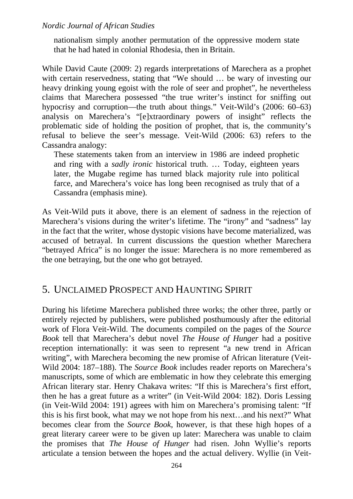nationalism simply another permutation of the oppressive modern state that he had hated in colonial Rhodesia, then in Britain.

While David Caute (2009: 2) regards interpretations of Marechera as a prophet with certain reservedness, stating that "We should ... be wary of investing our heavy drinking young egoist with the role of seer and prophet", he nevertheless claims that Marechera possessed "the true writer's instinct for sniffing out hypocrisy and corruption—the truth about things." Veit-Wild's (2006: 60–63) analysis on Marechera's "[e]xtraordinary powers of insight" reflects the problematic side of holding the position of prophet, that is, the community's refusal to believe the seer's message. Veit-Wild (2006: 63) refers to the Cassandra analogy:

These statements taken from an interview in 1986 are indeed prophetic and ring with a *sadly ironic* historical truth. … Today, eighteen years later, the Mugabe regime has turned black majority rule into political farce, and Marechera's voice has long been recognised as truly that of a Cassandra (emphasis mine).

As Veit-Wild puts it above, there is an element of sadness in the rejection of Marechera's visions during the writer's lifetime. The "irony" and "sadness" lay in the fact that the writer, whose dystopic visions have become materialized, was accused of betrayal. In current discussions the question whether Marechera "betrayed Africa" is no longer the issue: Marechera is no more remembered as the one betraying, but the one who got betrayed.

# 5. UNCLAIMED PROSPECT AND HAUNTING SPIRIT

During his lifetime Marechera published three works; the other three, partly or entirely rejected by publishers, were published posthumously after the editorial work of Flora Veit-Wild. The documents compiled on the pages of the *Source Book* tell that Marechera's debut novel *The House of Hunger* had a positive reception internationally: it was seen to represent "a new trend in African writing", with Marechera becoming the new promise of African literature (Veit-Wild 2004: 187–188). The *Source Book* includes reader reports on Marechera's manuscripts, some of which are emblematic in how they celebrate this emerging African literary star. Henry Chakava writes: "If this is Marechera's first effort, then he has a great future as a writer" (in Veit-Wild 2004: 182). Doris Lessing (in Veit-Wild 2004: 191) agrees with him on Marechera's promising talent: "If this is his first book, what may we not hope from his next…and his next?" What becomes clear from the *Source Book*, however, is that these high hopes of a great literary career were to be given up later: Marechera was unable to claim the promises that *The House of Hunger* had risen. John Wyllie's reports articulate a tension between the hopes and the actual delivery. Wyllie (in Veit-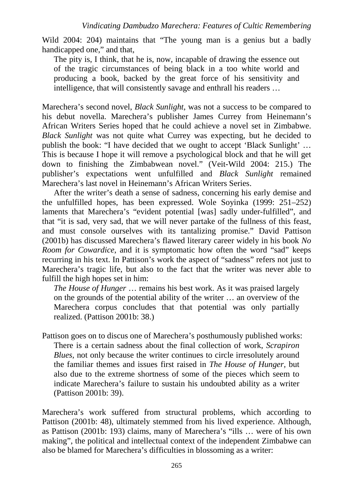Wild 2004: 204) maintains that "The young man is a genius but a badly handicapped one," and that,

The pity is, I think, that he is, now, incapable of drawing the essence out of the tragic circumstances of being black in a too white world and producing a book, backed by the great force of his sensitivity and intelligence, that will consistently savage and enthrall his readers …

Marechera's second novel, *Black Sunlight*, was not a success to be compared to his debut novella. Marechera's publisher James Currey from Heinemann's African Writers Series hoped that he could achieve a novel set in Zimbabwe. *Black Sunlight* was not quite what Currey was expecting, but he decided to publish the book: "I have decided that we ought to accept 'Black Sunlight' … This is because I hope it will remove a psychological block and that he will get down to finishing the Zimbabwean novel." (Veit-Wild 2004: 215.) The publisher's expectations went unfulfilled and *Black Sunlight* remained Marechera's last novel in Heinemann's African Writers Series.

After the writer's death a sense of sadness, concerning his early demise and the unfulfilled hopes, has been expressed. Wole Soyinka (1999: 251–252) laments that Marechera's "evident potential [was] sadly under-fulfilled", and that "it is sad, very sad, that we will never partake of the fullness of this feast, and must console ourselves with its tantalizing promise." David Pattison (2001b) has discussed Marechera's flawed literary career widely in his book *No Room for Cowardice*, and it is symptomatic how often the word "sad" keeps recurring in his text. In Pattison's work the aspect of "sadness" refers not just to Marechera's tragic life, but also to the fact that the writer was never able to fulfill the high hopes set in him:

*The House of Hunger* … remains his best work. As it was praised largely on the grounds of the potential ability of the writer … an overview of the Marechera corpus concludes that that potential was only partially realized. (Pattison 2001b: 38.)

Pattison goes on to discus one of Marechera's posthumously published works: There is a certain sadness about the final collection of work, *Scrapiron Blues, not only because the writer continues to circle irresolutely around* the familiar themes and issues first raised in *The House of Hunger,* but also due to the extreme shortness of some of the pieces which seem to indicate Marechera's failure to sustain his undoubted ability as a writer (Pattison 2001b: 39).

Marechera's work suffered from structural problems, which according to Pattison (2001b: 48), ultimately stemmed from his lived experience. Although, as Pattison (2001b: 193) claims, many of Marechera's "ills … were of his own making", the political and intellectual context of the independent Zimbabwe can also be blamed for Marechera's difficulties in blossoming as a writer: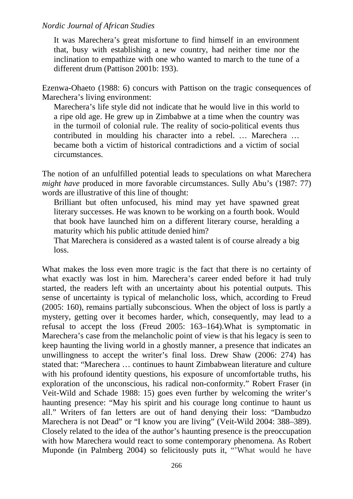It was Marechera's great misfortune to find himself in an environment that, busy with establishing a new country, had neither time nor the inclination to empathize with one who wanted to march to the tune of a different drum (Pattison 2001b: 193).

Ezenwa-Ohaeto (1988: 6) concurs with Pattison on the tragic consequences of Marechera's living environment:

Marechera's life style did not indicate that he would live in this world to a ripe old age. He grew up in Zimbabwe at a time when the country was in the turmoil of colonial rule. The reality of socio-political events thus contributed in moulding his character into a rebel. … Marechera … became both a victim of historical contradictions and a victim of social circumstances.

The notion of an unfulfilled potential leads to speculations on what Marechera *might have produced in more favorable circumstances. Sully Abu's (1987: 77)* words are illustrative of this line of thought:

Brilliant but often unfocused, his mind may yet have spawned great literary successes. He was known to be working on a fourth book. Would that book have launched him on a different literary course, heralding a maturity which his public attitude denied him?

That Marechera is considered as a wasted talent is of course already a big loss.

What makes the loss even more tragic is the fact that there is no certainty of what exactly was lost in him. Marechera's career ended before it had truly started, the readers left with an uncertainty about his potential outputs. This sense of uncertainty is typical of melancholic loss, which, according to Freud (2005: 160), remains partially subconscious. When the object of loss is partly a mystery, getting over it becomes harder, which, consequently, may lead to a refusal to accept the loss (Freud 2005: 163–164).What is symptomatic in Marechera's case from the melancholic point of view is that his legacy is seen to keep haunting the living world in a ghostly manner, a presence that indicates an unwillingness to accept the writer's final loss. Drew Shaw (2006: 274) has stated that: "Marechera … continues to haunt Zimbabwean literature and culture with his profound identity questions, his exposure of uncomfortable truths, his exploration of the unconscious, his radical non-conformity." Robert Fraser (in Veit-Wild and Schade 1988: 15) goes even further by welcoming the writer's haunting presence: "May his spirit and his courage long continue to haunt us all." Writers of fan letters are out of hand denying their loss: "Dambudzo Marechera is not Dead" or "I know you are living" (Veit-Wild 2004: 388–389). Closely related to the idea of the author's haunting presence is the preoccupation with how Marechera would react to some contemporary phenomena. As Robert Muponde (in Palmberg 2004) so felicitously puts it, "'What would he have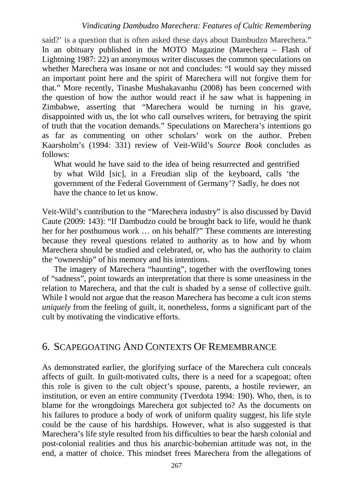said?' is a question that is often asked these days about Dambudzo Marechera." In an obituary published in the MOTO Magazine (Marechera – Flash of Lightning 1987: 22) an anonymous writer discusses the common speculations on whether Marechera was insane or not and concludes: "I would say they missed an important point here and the spirit of Marechera will not forgive them for that." More recently, Tinashe Mushakavanhu (2008) has been concerned with the question of how the author would react if he saw what is happening in Zimbabwe, asserting that "Marechera would be turning in his grave, disappointed with us, the lot who call ourselves writers, for betraying the spirit of truth that the vocation demands." Speculations on Marechera's intentions go as far as commenting on other scholars' work on the author. Preben Kaarsholm's (1994: 331) review of Veit-Wild's *Source Book* concludes as follows:

What would he have said to the idea of being resurrected and gentrified by what Wild [sic], in a Freudian slip of the keyboard, calls 'the government of the Federal Government of Germany'? Sadly, he does not have the chance to let us know.

Veit-Wild's contribution to the "Marechera industry" is also discussed by David Caute (2009: 143): "If Dambudzo could be brought back to life, would he thank her for her posthumous work … on his behalf?" These comments are interesting because they reveal questions related to authority as to how and by whom Marechera should be studied and celebrated, or, who has the authority to claim the "ownership" of his memory and his intentions.

The imagery of Marechera "haunting", together with the overflowing tones of "sadness", point towards an interpretation that there is some uneasiness in the relation to Marechera, and that the cult is shaded by a sense of collective guilt. While I would not argue that the reason Marechera has become a cult icon stems *uniquely* from the feeling of guilt, it, nonetheless, forms a significant part of the cult by motivating the vindicative efforts.

# 6. SCAPEGOATING AND CONTEXTS OF REMEMBRANCE

As demonstrated earlier, the glorifying surface of the Marechera cult conceals affects of guilt. In guilt-motivated cults, there is a need for a scapegoat; often this role is given to the cult object's spouse, parents, a hostile reviewer, an institution, or even an entire community (Tverdota 1994: 190). Who, then, is to blame for the wrongdoings Marechera got subjected to? As the documents on his failures to produce a body of work of uniform quality suggest, his life style could be the cause of his hardships. However, what is also suggested is that Marechera's life style resulted from his difficulties to bear the harsh colonial and post-colonial realities and thus his anarchic-bohemian attitude was not, in the end, a matter of choice. This mindset frees Marechera from the allegations of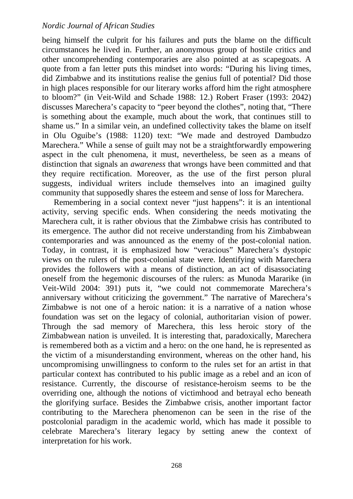being himself the culprit for his failures and puts the blame on the difficult circumstances he lived in. Further, an anonymous group of hostile critics and other uncomprehending contemporaries are also pointed at as scapegoats. A quote from a fan letter puts this mindset into words: "During his living times, did Zimbabwe and its institutions realise the genius full of potential? Did those in high places responsible for our literary works afford him the right atmosphere to bloom?" (in Veit-Wild and Schade 1988: 12.) Robert Fraser (1993: 2042) discusses Marechera's capacity to "peer beyond the clothes", noting that, "There is something about the example, much about the work, that continues still to shame us." In a similar vein, an undefined collectivity takes the blame on itself in Olu Oguibe's (1988: 1120) text: "We made and destroyed Dambudzo Marechera." While a sense of guilt may not be a straightforwardly empowering aspect in the cult phenomena, it must, nevertheless, be seen as a means of distinction that signals an *awareness* that wrongs have been committed and that they require rectification. Moreover, as the use of the first person plural suggests, individual writers include themselves into an imagined guilty community that supposedly shares the esteem and sense of loss for Marechera.

Remembering in a social context never "just happens": it is an intentional activity, serving specific ends. When considering the needs motivating the Marechera cult, it is rather obvious that the Zimbabwe crisis has contributed to its emergence. The author did not receive understanding from his Zimbabwean contemporaries and was announced as the enemy of the post-colonial nation. Today, in contrast, it is emphasized how "veracious" Marechera's dystopic views on the rulers of the post-colonial state were. Identifying with Marechera provides the followers with a means of distinction, an act of disassociating oneself from the hegemonic discourses of the rulers: as Munoda Mararike (in Veit-Wild 2004: 391) puts it, "we could not commemorate Marechera's anniversary without criticizing the government." The narrative of Marechera's Zimbabwe is not one of a heroic nation: it is a narrative of a nation whose foundation was set on the legacy of colonial, authoritarian vision of power. Through the sad memory of Marechera, this less heroic story of the Zimbabwean nation is unveiled. It is interesting that, paradoxically, Marechera is remembered both as a victim and a hero: on the one hand, he is represented as the victim of a misunderstanding environment, whereas on the other hand, his uncompromising unwillingness to conform to the rules set for an artist in that particular context has contributed to his public image as a rebel and an icon of resistance. Currently, the discourse of resistance-heroism seems to be the overriding one, although the notions of victimhood and betrayal echo beneath the glorifying surface. Besides the Zimbabwe crisis, another important factor contributing to the Marechera phenomenon can be seen in the rise of the postcolonial paradigm in the academic world, which has made it possible to celebrate Marechera's literary legacy by setting anew the context of interpretation for his work.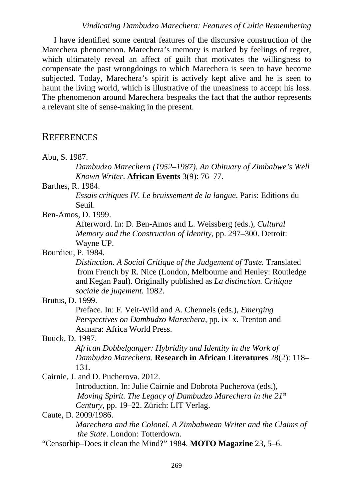#### *Vindicating Dambudzo Marechera: Features of Cultic Remembering*

I have identified some central features of the discursive construction of the Marechera phenomenon. Marechera's memory is marked by feelings of regret, which ultimately reveal an affect of guilt that motivates the willingness to compensate the past wrongdoings to which Marechera is seen to have become subjected. Today, Marechera's spirit is actively kept alive and he is seen to haunt the living world, which is illustrative of the uneasiness to accept his loss. The phenomenon around Marechera bespeaks the fact that the author represents a relevant site of sense-making in the present.

### **REFERENCES**

| Abu, S. 1987. |  |  |  |
|---------------|--|--|--|
|---------------|--|--|--|

*Dambudzo Marechera (1952–1987). An Obituary of Zimbabwe's Well Known Writer*. **African Events** 3(9): 76–77.

#### Barthes, R. 1984.

*Essais critiques IV. Le bruissement de la langue*. Paris: Editions du Seuil.

Ben-Amos, D. 1999.

Afterword. In: D. Ben-Amos and L. Weissberg (eds.), *Cultural Memory and the Construction of Identity*, pp. 297–300. Detroit: Wayne UP.

Bourdieu, P. 1984.

*Distinction. A Social Critique of the Judgement of Taste.* Translated from French by R. Nice (London, Melbourne and Henley: Routledge and Kegan Paul). Originally published as *La distinction.* C*ritique sociale de jugement.* 1982.

Brutus, D. 1999.

Preface. In: F. Veit-Wild and A. Chennels (eds.), *Emerging Perspectives on Dambudzo Marechera*, pp. ix–x. Trenton and Asmara: Africa World Press.

#### Buuck, D. 1997.

*African Dobbelganger: Hybridity and Identity in the Work of Dambudzo Marechera*. **Research in African Literatures** 28(2): 118– 131.

Cairnie, J. and D. Pucherova. 2012.

Introduction. In: Julie Cairnie and Dobrota Pucherova (eds.), *Moving Spirit. The Legacy of Dambudzo Marechera in the 21st Century*, pp. 19–22. Zürich: LIT Verlag.

#### Caute, D. 2009/1986.

*Marechera and the Colonel. A Zimbabwean Writer and the Claims of the State*. London: Totterdown.

"Censorhip–Does it clean the Mind?" 1984. **MOTO Magazine** 23, 5–6.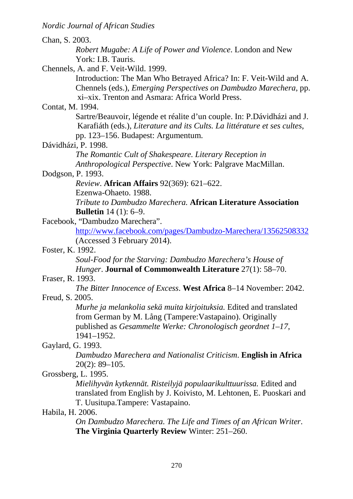| Chan, S. 2003.                                                            |  |
|---------------------------------------------------------------------------|--|
| <i>Robert Mugabe: A Life of Power and Violence. London and New</i>        |  |
| York: I.B. Tauris.                                                        |  |
| Chennels, A. and F. Veit-Wild. 1999.                                      |  |
| Introduction: The Man Who Betrayed Africa? In: F. Veit-Wild and A.        |  |
| Chennels (eds.), <i>Emerging Perspectives on Dambudzo Marechera</i> , pp. |  |
| xi-xix. Trenton and Asmara: Africa World Press.                           |  |
| Contat, M. 1994.                                                          |  |
| Sartre/Beauvoir, légende et réalite d'un couple. In: P.Dávidházi and J.   |  |
| Karafiáth (eds.), Literature and its Cults. La littérature et ses cultes, |  |
| pp. 123–156. Budapest: Argumentum.                                        |  |
| Dávidházi, P. 1998.                                                       |  |
| The Romantic Cult of Shakespeare. Literary Reception in                   |  |
| Anthropological Perspective. New York: Palgrave MacMillan.                |  |
| Dodgson, P. 1993.                                                         |  |
| <i>Review.</i> African Affairs 92(369): 621–622.                          |  |
| Ezenwa-Ohaeto. 1988.                                                      |  |
| Tribute to Dambudzo Marechera. African Literature Association             |  |
| <b>Bulletin</b> $14(1)$ : 6–9.                                            |  |
| Facebook, "Dambudzo Marechera".                                           |  |
| http://www.facebook.com/pages/Dambudzo-Marechera/13562508332              |  |
| (Accessed 3 February 2014).                                               |  |
| Foster, K. 1992.                                                          |  |
| Soul-Food for the Starving: Dambudzo Marechera's House of                 |  |
| Hunger. Journal of Commonwealth Literature 27(1): 58-70.                  |  |
| Fraser, R. 1993.                                                          |  |
| The Bitter Innocence of Excess. West Africa 8-14 November: 2042.          |  |
| Freud, S. 2005                                                            |  |
| Murhe ja melankolia sekä muita kirjoituksia. Edited and translated        |  |
| from German by M. Lång (Tampere: Vastapaino). Originally                  |  |
| published as Gesammelte Werke: Chronologisch geordnet 1–17,               |  |
| 1941-1952.                                                                |  |
| Gaylard, G. 1993.                                                         |  |
| Dambudzo Marechera and Nationalist Criticism. English in Africa           |  |
| $20(2): 89 - 105.$                                                        |  |
| Grossberg, L. 1995.                                                       |  |
| Mielihyvän kytkennät. Risteilyjä populaarikulttuurissa. Edited and        |  |
| translated from English by J. Koivisto, M. Lehtonen, E. Puoskari and      |  |
| T. Uusitupa.Tampere: Vastapaino.                                          |  |
| Habila, H. 2006.                                                          |  |
| On Dambudzo Marechera. The Life and Times of an African Writer.           |  |
| The Virginia Quarterly Review Winter: 251–260.                            |  |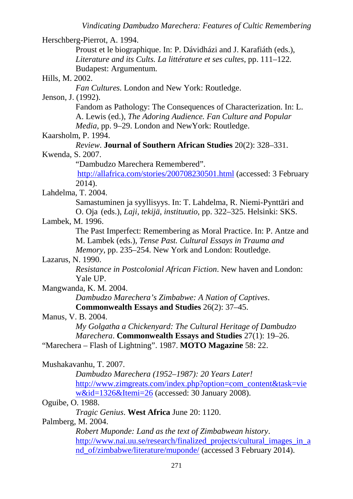Herschberg-Pierrot, A. 1994. Proust et le biographique. In: P. Dávidházi and J. Karafiáth (eds.), *Literature and its Cults. La littérature et ses cultes*, pp. 111–122*.*  Budapest: Argumentum. Hills, M. 2002. *Fan Cultures.* London and New York: Routledge. Jenson, J. (1992). Fandom as Pathology: The Consequences of Characterization. In: L. A. Lewis (ed.), *The Adoring Audience. Fan Culture and Popular Media*, pp. 9–29. London and NewYork: Routledge. Kaarsholm, P. 1994. *Review*. **Journal of Southern African Studies** 20(2): 328–331. Kwenda, S. 2007. "Dambudzo Marechera Remembered". http://allafrica.com/stories/200708230501.html (accessed: 3 February 2014). Lahdelma, T. 2004. Samastuminen ja syyllisyys. In: T. Lahdelma, R. Niemi-Pynttäri and O. Oja (eds.), *Laji, tekijä, instituutio*, pp. 322–325. Helsinki: SKS. Lambek, M. 1996. The Past Imperfect: Remembering as Moral Practice. In: P. Antze and M. Lambek (eds.), *Tense Past. Cultural Essays in Trauma and Memory*, pp. 235–254. New York and London: Routledge. Lazarus, N. 1990. *Resistance in Postcolonial African Fiction*. New haven and London: Yale UP. Mangwanda, K. M. 2004. *Dambudzo Marechera's Zimbabwe: A Nation of Captives*. **Commonwealth Essays and Studies** 26(2): 37–45. Manus, V. B. 2004. *My Golgatha a Chickenyard: The Cultural Heritage of Dambudzo Marechera*. **Commonwealth Essays and Studies** 27(1): 19–26. "Marechera – Flash of Lightning". 1987. **MOTO Magazine** 58: 22. Mushakavanhu, T. 2007. *Dambudzo Marechera (1952–1987): 20 Years Later!* http://www.zimgreats.com/index.php?option=com\_content&task=vie w&id=1326&Itemi=26 (accessed: 30 January 2008). Oguibe, O. 1988. *Tragic Genius*. **West Africa** June 20: 1120. Palmberg, M. 2004. *Robert Muponde: Land as the text of Zimbabwean history*. http://www.nai.uu.se/research/finalized\_projects/cultural\_images\_in\_a nd\_of/zimbabwe/literature/muponde/ (accessed 3 February 2014).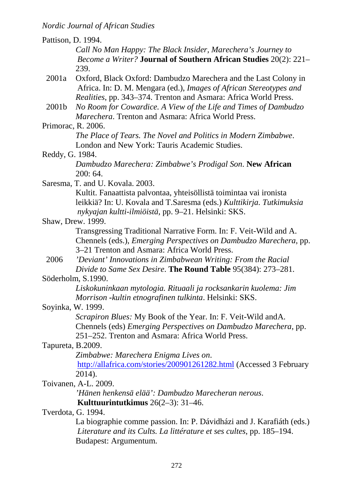| Pattison, D. 1994. |                                                                                                                                                                                                                  |
|--------------------|------------------------------------------------------------------------------------------------------------------------------------------------------------------------------------------------------------------|
|                    | Call No Man Happy: The Black Insider, Marechera's Journey to                                                                                                                                                     |
|                    | <i>Become a Writer?</i> Journal of Southern African Studies 20(2): 221–                                                                                                                                          |
|                    | 239.                                                                                                                                                                                                             |
| 2001a              | Oxford, Black Oxford: Dambudzo Marechera and the Last Colony in<br>Africa. In: D. M. Mengara (ed.), Images of African Stereotypes and<br><i>Realities</i> , pp. 343–374. Trenton and Asmara: Africa World Press. |
| 2001b              | No Room for Cowardice. A View of the Life and Times of Dambudzo<br><i>Marechera</i> . Trenton and Asmara: Africa World Press.                                                                                    |
| Primorac, R. 2006. |                                                                                                                                                                                                                  |
|                    | The Place of Tears. The Novel and Politics in Modern Zimbabwe.<br>London and New York: Tauris Academic Studies.                                                                                                  |
| Reddy, G. 1984.    |                                                                                                                                                                                                                  |
|                    | Dambudzo Marechera: Zimbabwe's Prodigal Son. New African<br>200:64.                                                                                                                                              |
|                    | Saresma, T. and U. Kovala. 2003.                                                                                                                                                                                 |
|                    | Kultit. Fanaattista palvontaa, yhteisöllistä toimintaa vai ironista<br>leikkiä? In: U. Kovala and T. Saresma (eds.) Kulttikirja. Tutkimuksia<br>nykyajan kultti-ilmiöistä, pp. 9-21. Helsinki: SKS.              |
|                    | Shaw, Drew. 1999.                                                                                                                                                                                                |
|                    | Transgressing Traditional Narrative Form. In: F. Veit-Wild and A.<br>Chennels (eds.), <i>Emerging Perspectives on Dambudzo Marechera</i> , pp.<br>3–21 Trenton and Asmara: Africa World Press.                   |
| 2006               | 'Deviant' Innovations in Zimbabwean Writing: From the Racial<br>Divide to Same Sex Desire. The Round Table 95(384): 273–281.                                                                                     |
|                    | Söderholm, S.1990.                                                                                                                                                                                               |
|                    | Liskokuninkaan mytologia. Rituaali ja rocksankarin kuolema: Jim<br>Morrison - kultin etnografinen tulkinta. Helsinki: SKS.                                                                                       |
| Soyinka, W. 1999.  |                                                                                                                                                                                                                  |
|                    | <i>Scrapiron Blues:</i> My Book of the Year. In: F. Veit-Wild and A.<br>Chennels (eds) <i>Emerging Perspectives on Dambudzo Marechera</i> , pp.<br>251–252. Trenton and Asmara: Africa World Press.              |
| Tapureta, B.2009.  |                                                                                                                                                                                                                  |
|                    | Zimbabwe: Marechera Enigma Lives on.                                                                                                                                                                             |
|                    | http://allafrica.com/stories/200901261282.html (Accessed 3 February                                                                                                                                              |
|                    | 2014).                                                                                                                                                                                                           |
|                    | Toivanen, A-L. 2009.                                                                                                                                                                                             |
|                    | 'Hänen henkensä elää': Dambudzo Marecheran nerous.                                                                                                                                                               |
|                    | Kulttuurintutkimus $26(2-3)$ : 31–46.                                                                                                                                                                            |
| Tverdota, G. 1994. |                                                                                                                                                                                                                  |
|                    | La biographie comme passion. In: P. Dávidházi and J. Karafiáth (eds.)                                                                                                                                            |
|                    | Literature and its Cults. La littérature et ses cultes, pp. 185–194.<br>Budapest: Argumentum.                                                                                                                    |
|                    |                                                                                                                                                                                                                  |